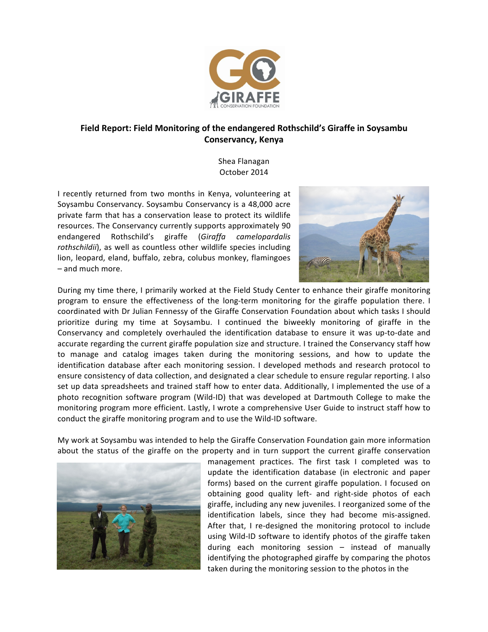

## Field Report: Field Monitoring of the endangered Rothschild's Giraffe in Soysambu **Conservancy, Kenya**

Shea Flanagan October 2014

I recently returned from two months in Kenya, volunteering at Soysambu Conservancy. Soysambu Conservancy is a 48,000 acre private farm that has a conservation lease to protect its wildlife resources. The Conservancy currently supports approximately 90 endangered Rothschild's giraffe (*Giraffa camelopardalis*  rothschildii), as well as countless other wildlife species including lion, leopard, eland, buffalo, zebra, colubus monkey, flamingoes – and much more. 



During my time there, I primarily worked at the Field Study Center to enhance their giraffe monitoring program to ensure the effectiveness of the long-term monitoring for the giraffe population there. I coordinated with Dr Julian Fennessy of the Giraffe Conservation Foundation about which tasks I should prioritize during my time at Soysambu. I continued the biweekly monitoring of giraffe in the Conservancy and completely overhauled the identification database to ensure it was up-to-date and accurate regarding the current giraffe population size and structure. I trained the Conservancy staff how to manage and catalog images taken during the monitoring sessions, and how to update the identification database after each monitoring session. I developed methods and research protocol to ensure consistency of data collection, and designated a clear schedule to ensure regular reporting. I also set up data spreadsheets and trained staff how to enter data. Additionally, I implemented the use of a photo recognition software program (Wild-ID) that was developed at Dartmouth College to make the monitoring program more efficient. Lastly, I wrote a comprehensive User Guide to instruct staff how to conduct the giraffe monitoring program and to use the Wild-ID software.

My work at Soysambu was intended to help the Giraffe Conservation Foundation gain more information about the status of the giraffe on the property and in turn support the current giraffe conservation



management practices. The first task I completed was to update the identification database (in electronic and paper forms) based on the current giraffe population. I focused on obtaining good quality left- and right-side photos of each giraffe, including any new juveniles. I reorganized some of the identification labels, since they had become mis-assigned. After that, I re-designed the monitoring protocol to include using Wild-ID software to identify photos of the giraffe taken during each monitoring session  $-$  instead of manually identifying the photographed giraffe by comparing the photos taken during the monitoring session to the photos in the